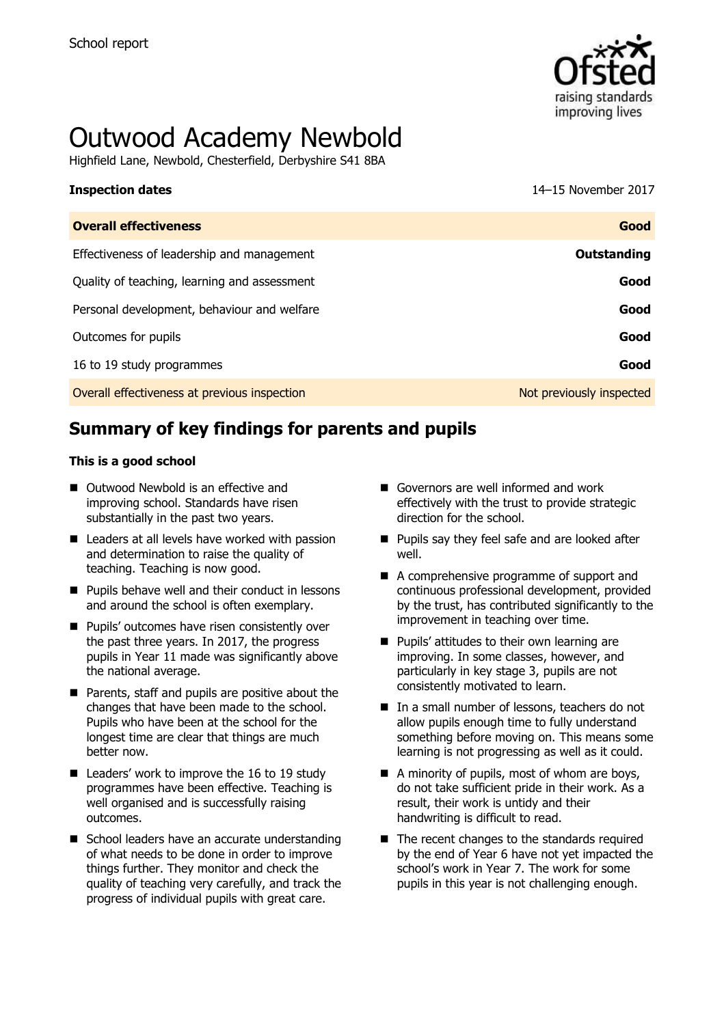

# Outwood Academy Newbold

Highfield Lane, Newbold, Chesterfield, Derbyshire S41 8BA

# **Inspection dates** 14–15 November 2017

| <b>Overall effectiveness</b>                 | Good                     |
|----------------------------------------------|--------------------------|
| Effectiveness of leadership and management   | Outstanding              |
| Quality of teaching, learning and assessment | Good                     |
| Personal development, behaviour and welfare  | Good                     |
| Outcomes for pupils                          | Good                     |
| 16 to 19 study programmes                    | Good                     |
| Overall effectiveness at previous inspection | Not previously inspected |

# **Summary of key findings for parents and pupils**

#### **This is a good school**

- Outwood Newbold is an effective and improving school. Standards have risen substantially in the past two years.
- Leaders at all levels have worked with passion and determination to raise the quality of teaching. Teaching is now good.
- $\blacksquare$  Pupils behave well and their conduct in lessons and around the school is often exemplary.
- **Pupils' outcomes have risen consistently over** the past three years. In 2017, the progress pupils in Year 11 made was significantly above the national average.
- **Parents, staff and pupils are positive about the** changes that have been made to the school. Pupils who have been at the school for the longest time are clear that things are much better now.
- Leaders' work to improve the 16 to 19 study programmes have been effective. Teaching is well organised and is successfully raising outcomes.
- School leaders have an accurate understanding of what needs to be done in order to improve things further. They monitor and check the quality of teaching very carefully, and track the progress of individual pupils with great care.
- Governors are well informed and work effectively with the trust to provide strategic direction for the school.
- **Pupils say they feel safe and are looked after** well.
- A comprehensive programme of support and continuous professional development, provided by the trust, has contributed significantly to the improvement in teaching over time.
- **Pupils' attitudes to their own learning are** improving. In some classes, however, and particularly in key stage 3, pupils are not consistently motivated to learn.
- In a small number of lessons, teachers do not allow pupils enough time to fully understand something before moving on. This means some learning is not progressing as well as it could.
- A minority of pupils, most of whom are boys, do not take sufficient pride in their work. As a result, their work is untidy and their handwriting is difficult to read.
- The recent changes to the standards required by the end of Year 6 have not yet impacted the school's work in Year 7. The work for some pupils in this year is not challenging enough.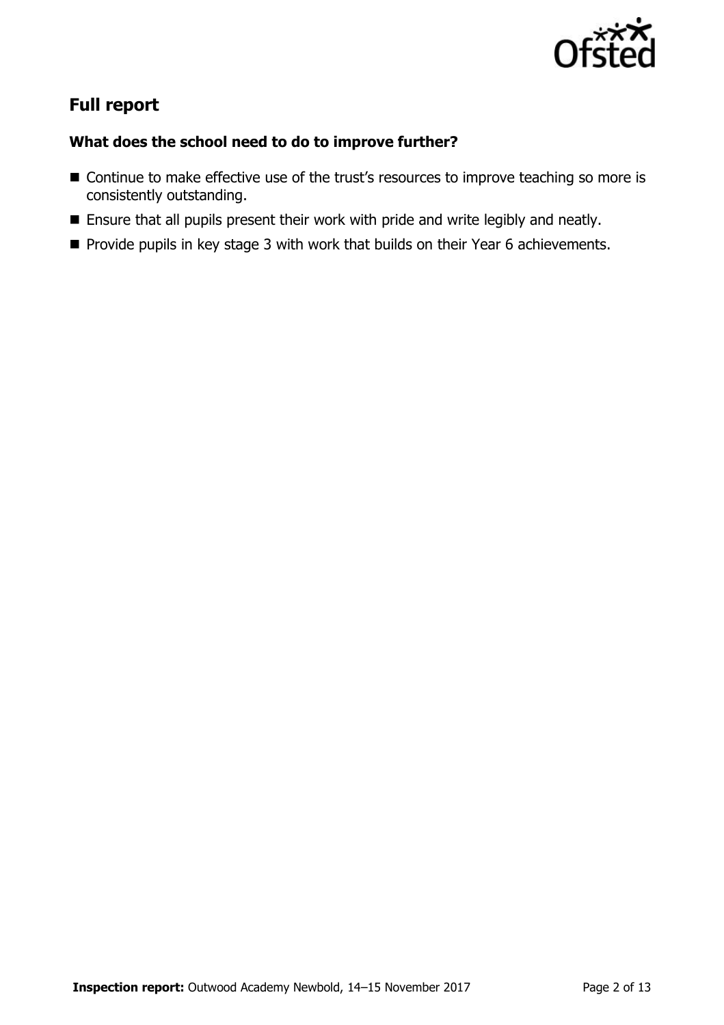

# **Full report**

### **What does the school need to do to improve further?**

- Continue to make effective use of the trust's resources to improve teaching so more is consistently outstanding.
- **Ensure that all pupils present their work with pride and write legibly and neatly.**
- **Provide pupils in key stage 3 with work that builds on their Year 6 achievements.**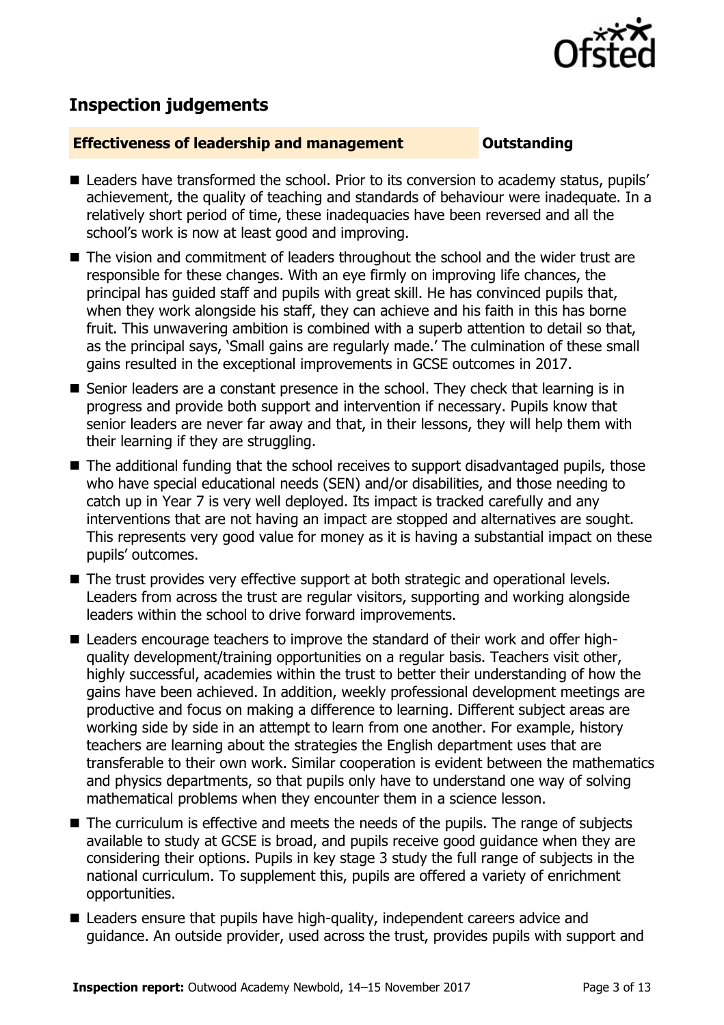

## **Inspection judgements**

#### **Effectiveness of leadership and management Constanding**

- Leaders have transformed the school. Prior to its conversion to academy status, pupils' achievement, the quality of teaching and standards of behaviour were inadequate. In a relatively short period of time, these inadequacies have been reversed and all the school's work is now at least good and improving.
- The vision and commitment of leaders throughout the school and the wider trust are responsible for these changes. With an eye firmly on improving life chances, the principal has guided staff and pupils with great skill. He has convinced pupils that, when they work alongside his staff, they can achieve and his faith in this has borne fruit. This unwavering ambition is combined with a superb attention to detail so that, as the principal says, 'Small gains are regularly made.' The culmination of these small gains resulted in the exceptional improvements in GCSE outcomes in 2017.
- Senior leaders are a constant presence in the school. They check that learning is in progress and provide both support and intervention if necessary. Pupils know that senior leaders are never far away and that, in their lessons, they will help them with their learning if they are struggling.
- The additional funding that the school receives to support disadvantaged pupils, those who have special educational needs (SEN) and/or disabilities, and those needing to catch up in Year 7 is very well deployed. Its impact is tracked carefully and any interventions that are not having an impact are stopped and alternatives are sought. This represents very good value for money as it is having a substantial impact on these pupils' outcomes.
- The trust provides very effective support at both strategic and operational levels. Leaders from across the trust are regular visitors, supporting and working alongside leaders within the school to drive forward improvements.
- Leaders encourage teachers to improve the standard of their work and offer highquality development/training opportunities on a regular basis. Teachers visit other, highly successful, academies within the trust to better their understanding of how the gains have been achieved. In addition, weekly professional development meetings are productive and focus on making a difference to learning. Different subject areas are working side by side in an attempt to learn from one another. For example, history teachers are learning about the strategies the English department uses that are transferable to their own work. Similar cooperation is evident between the mathematics and physics departments, so that pupils only have to understand one way of solving mathematical problems when they encounter them in a science lesson.
- The curriculum is effective and meets the needs of the pupils. The range of subjects available to study at GCSE is broad, and pupils receive good guidance when they are considering their options. Pupils in key stage 3 study the full range of subjects in the national curriculum. To supplement this, pupils are offered a variety of enrichment opportunities.
- Leaders ensure that pupils have high-quality, independent careers advice and guidance. An outside provider, used across the trust, provides pupils with support and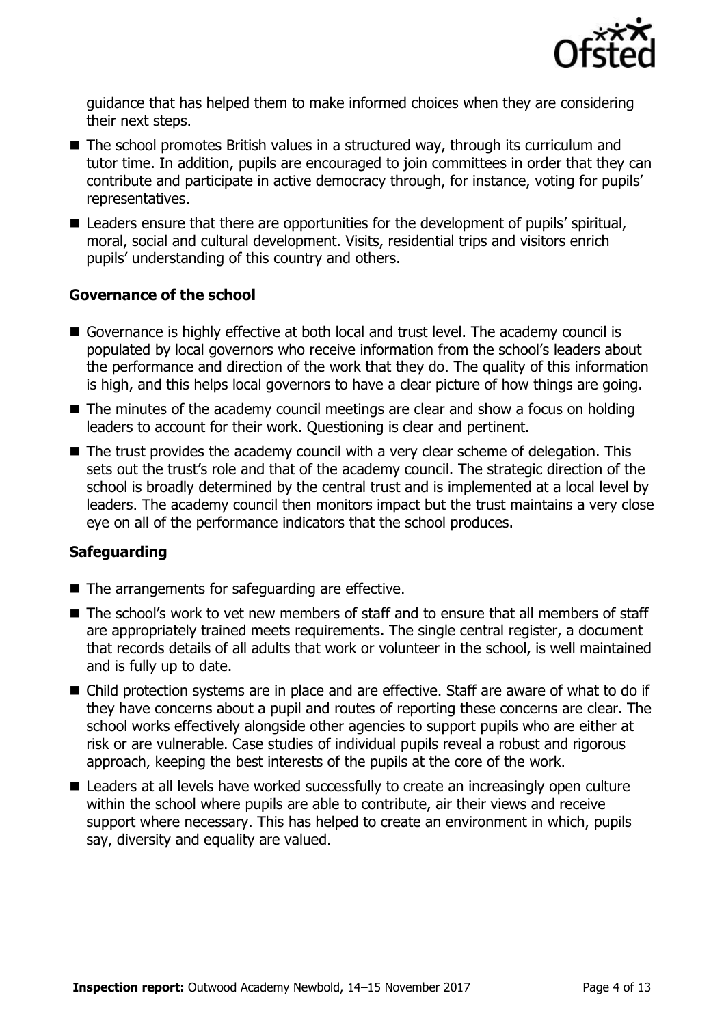

guidance that has helped them to make informed choices when they are considering their next steps.

- The school promotes British values in a structured way, through its curriculum and tutor time. In addition, pupils are encouraged to join committees in order that they can contribute and participate in active democracy through, for instance, voting for pupils' representatives.
- Leaders ensure that there are opportunities for the development of pupils' spiritual, moral, social and cultural development. Visits, residential trips and visitors enrich pupils' understanding of this country and others.

#### **Governance of the school**

- Governance is highly effective at both local and trust level. The academy council is populated by local governors who receive information from the school's leaders about the performance and direction of the work that they do. The quality of this information is high, and this helps local governors to have a clear picture of how things are going.
- The minutes of the academy council meetings are clear and show a focus on holding leaders to account for their work. Questioning is clear and pertinent.
- The trust provides the academy council with a very clear scheme of delegation. This sets out the trust's role and that of the academy council. The strategic direction of the school is broadly determined by the central trust and is implemented at a local level by leaders. The academy council then monitors impact but the trust maintains a very close eye on all of the performance indicators that the school produces.

### **Safeguarding**

- The arrangements for safeguarding are effective.
- The school's work to vet new members of staff and to ensure that all members of staff are appropriately trained meets requirements. The single central register, a document that records details of all adults that work or volunteer in the school, is well maintained and is fully up to date.
- Child protection systems are in place and are effective. Staff are aware of what to do if they have concerns about a pupil and routes of reporting these concerns are clear. The school works effectively alongside other agencies to support pupils who are either at risk or are vulnerable. Case studies of individual pupils reveal a robust and rigorous approach, keeping the best interests of the pupils at the core of the work.
- Leaders at all levels have worked successfully to create an increasingly open culture within the school where pupils are able to contribute, air their views and receive support where necessary. This has helped to create an environment in which, pupils say, diversity and equality are valued.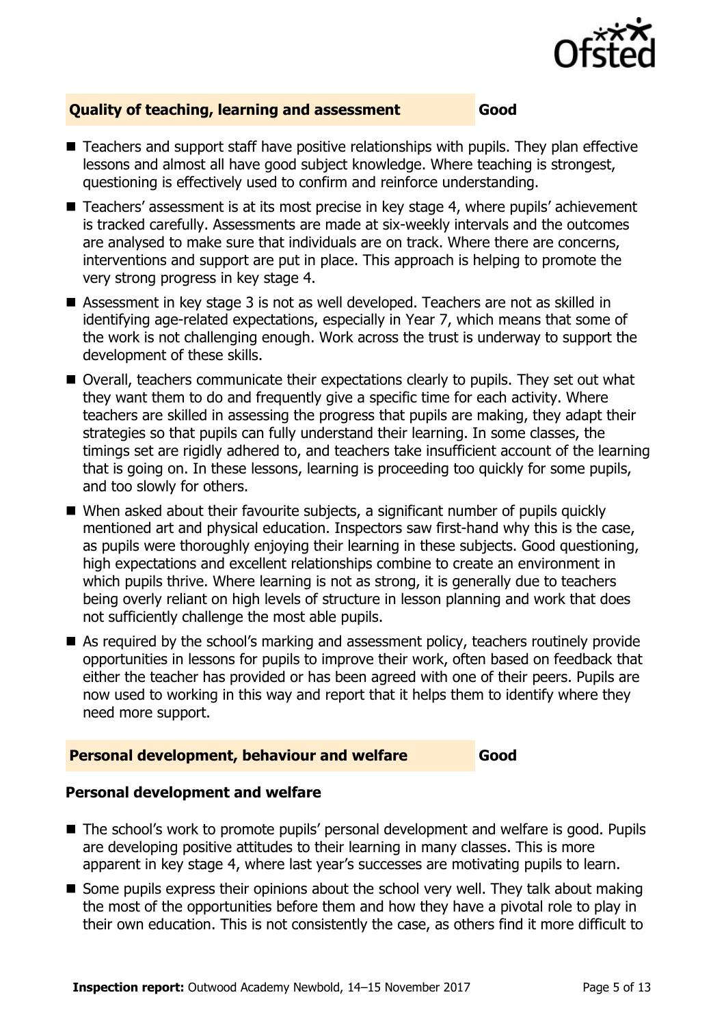

#### **Quality of teaching, learning and assessment Good**

- Teachers and support staff have positive relationships with pupils. They plan effective lessons and almost all have good subject knowledge. Where teaching is strongest, questioning is effectively used to confirm and reinforce understanding.
- Teachers' assessment is at its most precise in key stage 4, where pupils' achievement is tracked carefully. Assessments are made at six-weekly intervals and the outcomes are analysed to make sure that individuals are on track. Where there are concerns, interventions and support are put in place. This approach is helping to promote the very strong progress in key stage 4.
- Assessment in key stage 3 is not as well developed. Teachers are not as skilled in identifying age-related expectations, especially in Year 7, which means that some of the work is not challenging enough. Work across the trust is underway to support the development of these skills.
- Overall, teachers communicate their expectations clearly to pupils. They set out what they want them to do and frequently give a specific time for each activity. Where teachers are skilled in assessing the progress that pupils are making, they adapt their strategies so that pupils can fully understand their learning. In some classes, the timings set are rigidly adhered to, and teachers take insufficient account of the learning that is going on. In these lessons, learning is proceeding too quickly for some pupils, and too slowly for others.
- When asked about their favourite subjects, a significant number of pupils quickly mentioned art and physical education. Inspectors saw first-hand why this is the case, as pupils were thoroughly enjoying their learning in these subjects. Good questioning, high expectations and excellent relationships combine to create an environment in which pupils thrive. Where learning is not as strong, it is generally due to teachers being overly reliant on high levels of structure in lesson planning and work that does not sufficiently challenge the most able pupils.
- As required by the school's marking and assessment policy, teachers routinely provide opportunities in lessons for pupils to improve their work, often based on feedback that either the teacher has provided or has been agreed with one of their peers. Pupils are now used to working in this way and report that it helps them to identify where they need more support.

#### **Personal development, behaviour and welfare Good**

### **Personal development and welfare**

- The school's work to promote pupils' personal development and welfare is good. Pupils are developing positive attitudes to their learning in many classes. This is more apparent in key stage 4, where last year's successes are motivating pupils to learn.
- $\blacksquare$  Some pupils express their opinions about the school very well. They talk about making the most of the opportunities before them and how they have a pivotal role to play in their own education. This is not consistently the case, as others find it more difficult to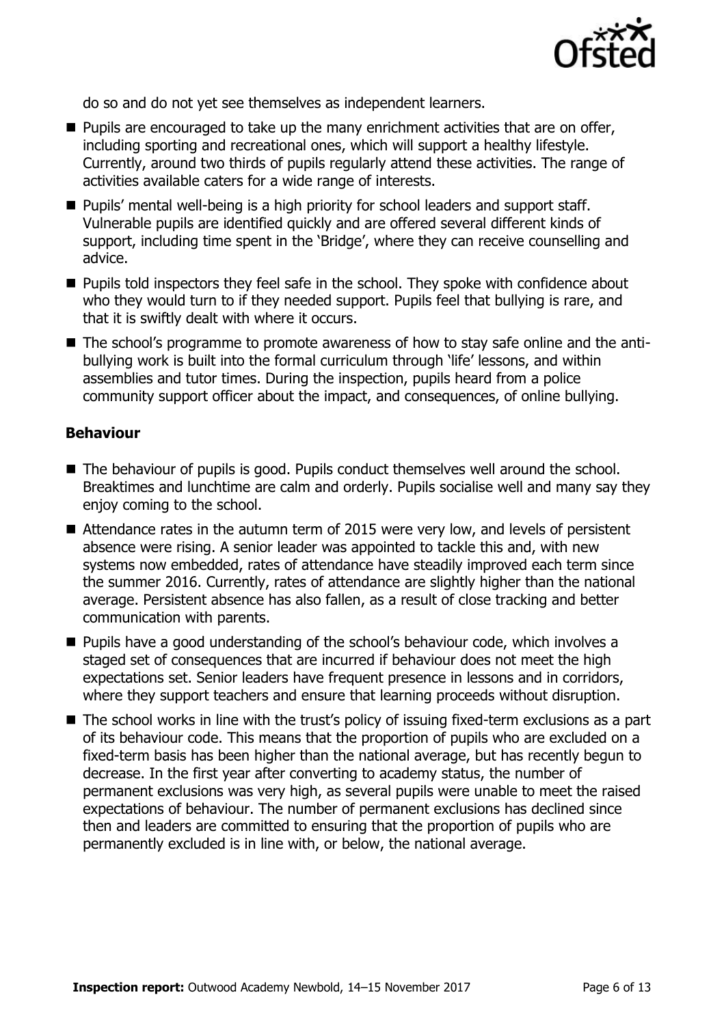

do so and do not yet see themselves as independent learners.

- $\blacksquare$  Pupils are encouraged to take up the many enrichment activities that are on offer, including sporting and recreational ones, which will support a healthy lifestyle. Currently, around two thirds of pupils regularly attend these activities. The range of activities available caters for a wide range of interests.
- **Pupils' mental well-being is a high priority for school leaders and support staff.** Vulnerable pupils are identified quickly and are offered several different kinds of support, including time spent in the 'Bridge', where they can receive counselling and advice.
- **Pupils told inspectors they feel safe in the school. They spoke with confidence about** who they would turn to if they needed support. Pupils feel that bullying is rare, and that it is swiftly dealt with where it occurs.
- The school's programme to promote awareness of how to stay safe online and the antibullying work is built into the formal curriculum through 'life' lessons, and within assemblies and tutor times. During the inspection, pupils heard from a police community support officer about the impact, and consequences, of online bullying.

#### **Behaviour**

- The behaviour of pupils is good. Pupils conduct themselves well around the school. Breaktimes and lunchtime are calm and orderly. Pupils socialise well and many say they enjoy coming to the school.
- Attendance rates in the autumn term of 2015 were very low, and levels of persistent absence were rising. A senior leader was appointed to tackle this and, with new systems now embedded, rates of attendance have steadily improved each term since the summer 2016. Currently, rates of attendance are slightly higher than the national average. Persistent absence has also fallen, as a result of close tracking and better communication with parents.
- **Pupils have a good understanding of the school's behaviour code, which involves a** staged set of consequences that are incurred if behaviour does not meet the high expectations set. Senior leaders have frequent presence in lessons and in corridors, where they support teachers and ensure that learning proceeds without disruption.
- The school works in line with the trust's policy of issuing fixed-term exclusions as a part of its behaviour code. This means that the proportion of pupils who are excluded on a fixed-term basis has been higher than the national average, but has recently begun to decrease. In the first year after converting to academy status, the number of permanent exclusions was very high, as several pupils were unable to meet the raised expectations of behaviour. The number of permanent exclusions has declined since then and leaders are committed to ensuring that the proportion of pupils who are permanently excluded is in line with, or below, the national average.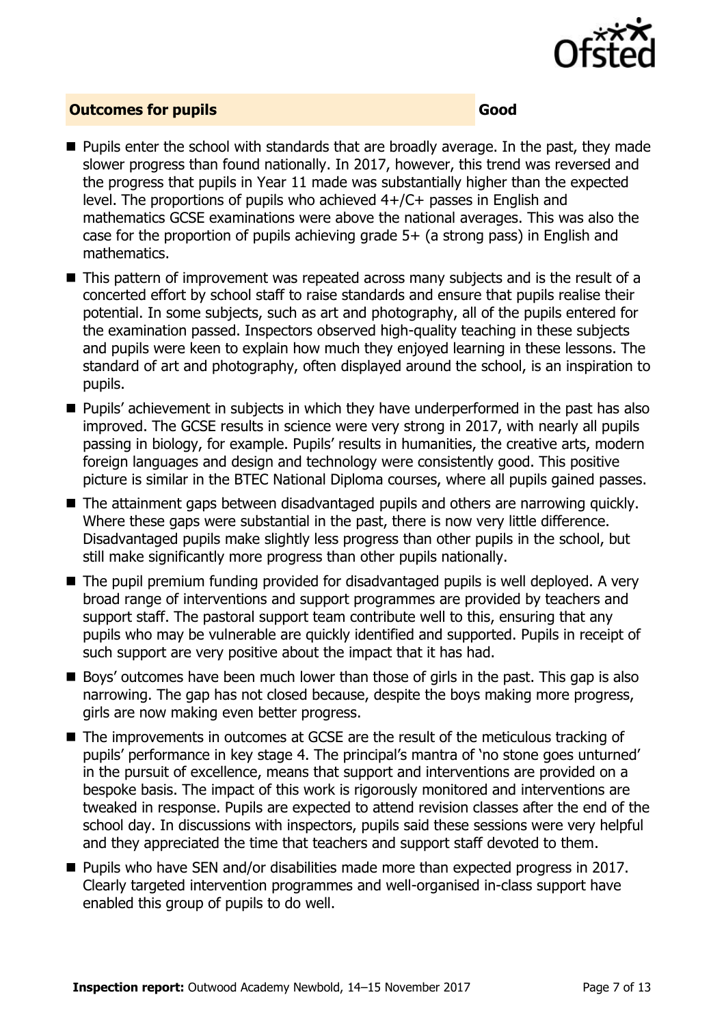

### **Outcomes for pupils Good**

- **Pupils enter the school with standards that are broadly average. In the past, they made** slower progress than found nationally. In 2017, however, this trend was reversed and the progress that pupils in Year 11 made was substantially higher than the expected level. The proportions of pupils who achieved 4+/C+ passes in English and mathematics GCSE examinations were above the national averages. This was also the case for the proportion of pupils achieving grade 5+ (a strong pass) in English and mathematics.
- This pattern of improvement was repeated across many subjects and is the result of a concerted effort by school staff to raise standards and ensure that pupils realise their potential. In some subjects, such as art and photography, all of the pupils entered for the examination passed. Inspectors observed high-quality teaching in these subjects and pupils were keen to explain how much they enjoyed learning in these lessons. The standard of art and photography, often displayed around the school, is an inspiration to pupils.
- **Pupils'** achievement in subjects in which they have underperformed in the past has also improved. The GCSE results in science were very strong in 2017, with nearly all pupils passing in biology, for example. Pupils' results in humanities, the creative arts, modern foreign languages and design and technology were consistently good. This positive picture is similar in the BTEC National Diploma courses, where all pupils gained passes.
- The attainment gaps between disadvantaged pupils and others are narrowing quickly. Where these gaps were substantial in the past, there is now very little difference. Disadvantaged pupils make slightly less progress than other pupils in the school, but still make significantly more progress than other pupils nationally.
- The pupil premium funding provided for disadvantaged pupils is well deployed. A very broad range of interventions and support programmes are provided by teachers and support staff. The pastoral support team contribute well to this, ensuring that any pupils who may be vulnerable are quickly identified and supported. Pupils in receipt of such support are very positive about the impact that it has had.
- Boys' outcomes have been much lower than those of girls in the past. This gap is also narrowing. The gap has not closed because, despite the boys making more progress, girls are now making even better progress.
- The improvements in outcomes at GCSE are the result of the meticulous tracking of pupils' performance in key stage 4. The principal's mantra of 'no stone goes unturned' in the pursuit of excellence, means that support and interventions are provided on a bespoke basis. The impact of this work is rigorously monitored and interventions are tweaked in response. Pupils are expected to attend revision classes after the end of the school day. In discussions with inspectors, pupils said these sessions were very helpful and they appreciated the time that teachers and support staff devoted to them.
- Pupils who have SEN and/or disabilities made more than expected progress in 2017. Clearly targeted intervention programmes and well-organised in-class support have enabled this group of pupils to do well.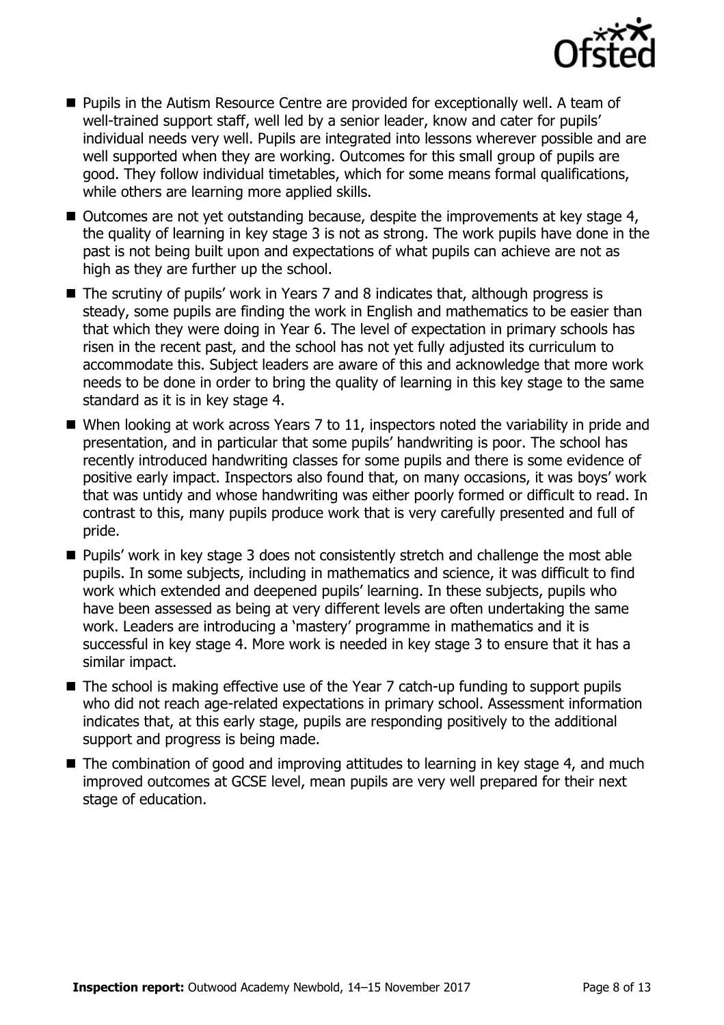

- Pupils in the Autism Resource Centre are provided for exceptionally well. A team of well-trained support staff, well led by a senior leader, know and cater for pupils' individual needs very well. Pupils are integrated into lessons wherever possible and are well supported when they are working. Outcomes for this small group of pupils are good. They follow individual timetables, which for some means formal qualifications, while others are learning more applied skills.
- $\blacksquare$  Outcomes are not yet outstanding because, despite the improvements at key stage 4, the quality of learning in key stage 3 is not as strong. The work pupils have done in the past is not being built upon and expectations of what pupils can achieve are not as high as they are further up the school.
- The scrutiny of pupils' work in Years 7 and 8 indicates that, although progress is steady, some pupils are finding the work in English and mathematics to be easier than that which they were doing in Year 6. The level of expectation in primary schools has risen in the recent past, and the school has not yet fully adjusted its curriculum to accommodate this. Subject leaders are aware of this and acknowledge that more work needs to be done in order to bring the quality of learning in this key stage to the same standard as it is in key stage 4.
- When looking at work across Years 7 to 11, inspectors noted the variability in pride and presentation, and in particular that some pupils' handwriting is poor. The school has recently introduced handwriting classes for some pupils and there is some evidence of positive early impact. Inspectors also found that, on many occasions, it was boys' work that was untidy and whose handwriting was either poorly formed or difficult to read. In contrast to this, many pupils produce work that is very carefully presented and full of pride.
- Pupils' work in key stage 3 does not consistently stretch and challenge the most able pupils. In some subjects, including in mathematics and science, it was difficult to find work which extended and deepened pupils' learning. In these subjects, pupils who have been assessed as being at very different levels are often undertaking the same work. Leaders are introducing a 'mastery' programme in mathematics and it is successful in key stage 4. More work is needed in key stage 3 to ensure that it has a similar impact.
- The school is making effective use of the Year 7 catch-up funding to support pupils who did not reach age-related expectations in primary school. Assessment information indicates that, at this early stage, pupils are responding positively to the additional support and progress is being made.
- The combination of good and improving attitudes to learning in key stage 4, and much improved outcomes at GCSE level, mean pupils are very well prepared for their next stage of education.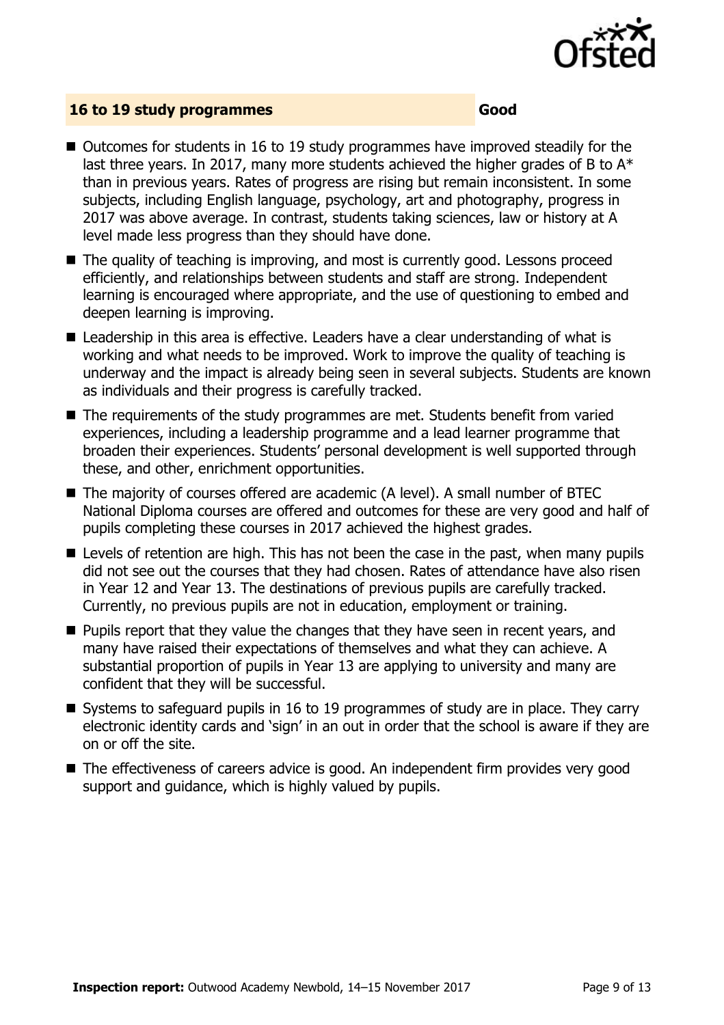

#### **16 to 19 study programmes Good**

- $\blacksquare$  Outcomes for students in 16 to 19 study programmes have improved steadily for the last three years. In 2017, many more students achieved the higher grades of B to  $A^*$ than in previous years. Rates of progress are rising but remain inconsistent. In some subjects, including English language, psychology, art and photography, progress in 2017 was above average. In contrast, students taking sciences, law or history at A level made less progress than they should have done.
- $\blacksquare$  The quality of teaching is improving, and most is currently good. Lessons proceed efficiently, and relationships between students and staff are strong. Independent learning is encouraged where appropriate, and the use of questioning to embed and deepen learning is improving.
- Leadership in this area is effective. Leaders have a clear understanding of what is working and what needs to be improved. Work to improve the quality of teaching is underway and the impact is already being seen in several subjects. Students are known as individuals and their progress is carefully tracked.
- The requirements of the study programmes are met. Students benefit from varied experiences, including a leadership programme and a lead learner programme that broaden their experiences. Students' personal development is well supported through these, and other, enrichment opportunities.
- The majority of courses offered are academic (A level). A small number of BTEC National Diploma courses are offered and outcomes for these are very good and half of pupils completing these courses in 2017 achieved the highest grades.
- Levels of retention are high. This has not been the case in the past, when many pupils did not see out the courses that they had chosen. Rates of attendance have also risen in Year 12 and Year 13. The destinations of previous pupils are carefully tracked. Currently, no previous pupils are not in education, employment or training.
- $\blacksquare$  Pupils report that they value the changes that they have seen in recent years, and many have raised their expectations of themselves and what they can achieve. A substantial proportion of pupils in Year 13 are applying to university and many are confident that they will be successful.
- Systems to safeguard pupils in 16 to 19 programmes of study are in place. They carry electronic identity cards and 'sign' in an out in order that the school is aware if they are on or off the site.
- The effectiveness of careers advice is good. An independent firm provides very good support and guidance, which is highly valued by pupils.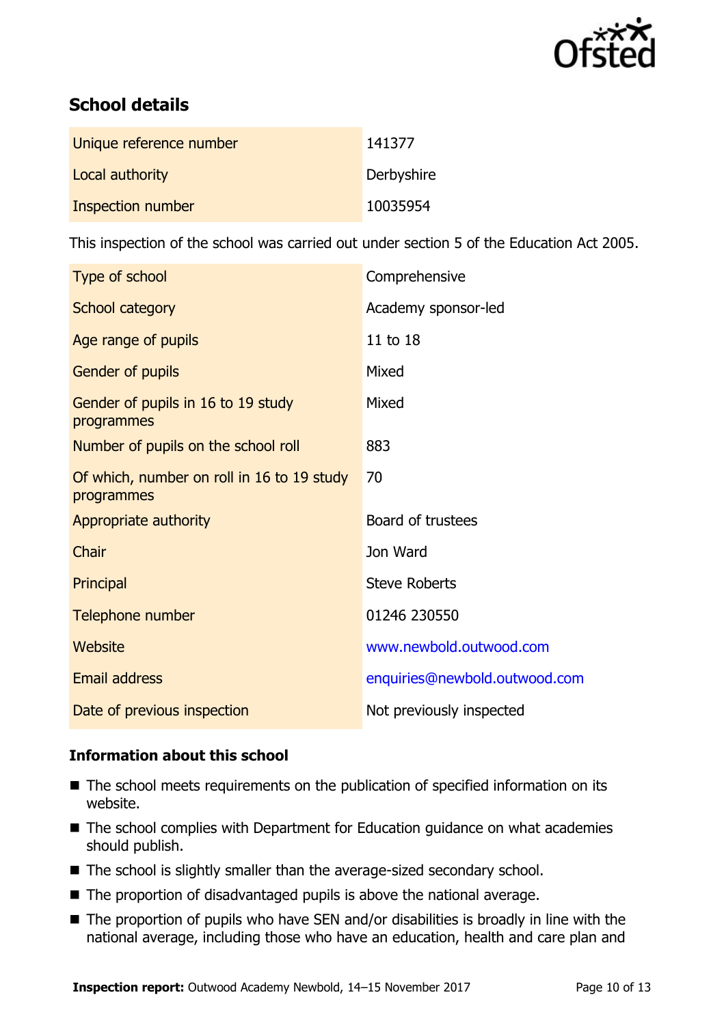

# **School details**

| Unique reference number | 141377     |
|-------------------------|------------|
| Local authority         | Derbyshire |
| Inspection number       | 10035954   |

This inspection of the school was carried out under section 5 of the Education Act 2005.

| Type of school                                           | Comprehensive                 |
|----------------------------------------------------------|-------------------------------|
| School category                                          | Academy sponsor-led           |
| Age range of pupils                                      | 11 to 18                      |
| Gender of pupils                                         | Mixed                         |
| Gender of pupils in 16 to 19 study<br>programmes         | Mixed                         |
| Number of pupils on the school roll                      | 883                           |
| Of which, number on roll in 16 to 19 study<br>programmes | 70                            |
| Appropriate authority                                    | Board of trustees             |
| Chair                                                    | Jon Ward                      |
| Principal                                                | <b>Steve Roberts</b>          |
| Telephone number                                         | 01246 230550                  |
| Website                                                  | www.newbold.outwood.com       |
| <b>Email address</b>                                     | enquiries@newbold.outwood.com |
| Date of previous inspection                              | Not previously inspected      |

### **Information about this school**

- The school meets requirements on the publication of specified information on its website.
- The school complies with Department for Education guidance on what academies should publish.
- The school is slightly smaller than the average-sized secondary school.
- The proportion of disadvantaged pupils is above the national average.
- The proportion of pupils who have SEN and/or disabilities is broadly in line with the national average, including those who have an education, health and care plan and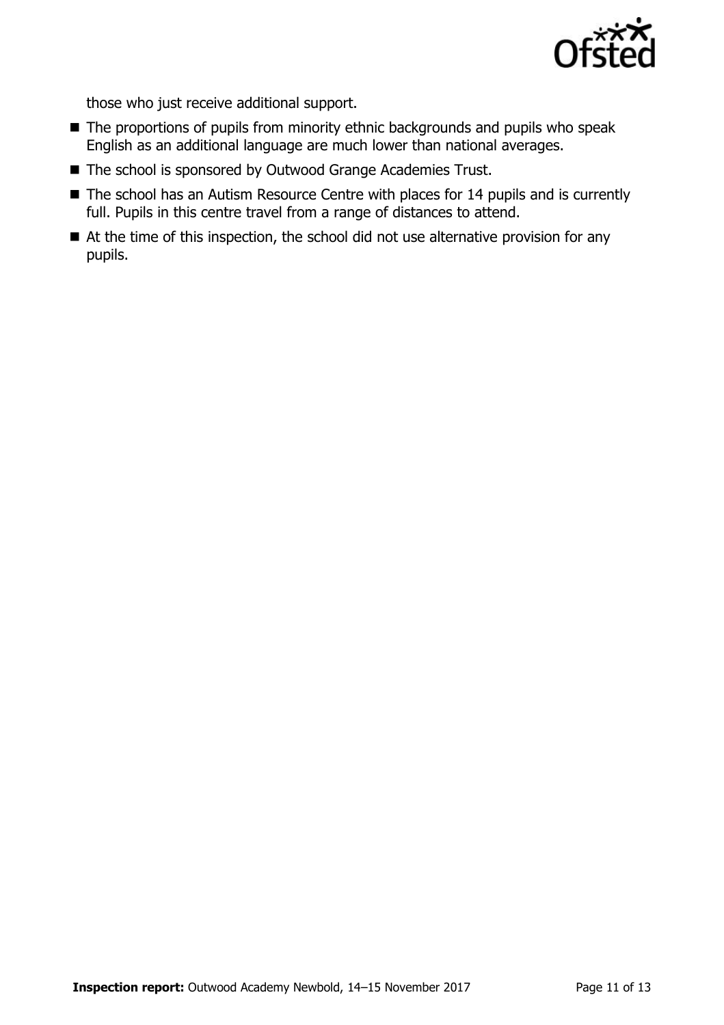

those who just receive additional support.

- The proportions of pupils from minority ethnic backgrounds and pupils who speak English as an additional language are much lower than national averages.
- The school is sponsored by Outwood Grange Academies Trust.
- The school has an Autism Resource Centre with places for 14 pupils and is currently full. Pupils in this centre travel from a range of distances to attend.
- At the time of this inspection, the school did not use alternative provision for any pupils.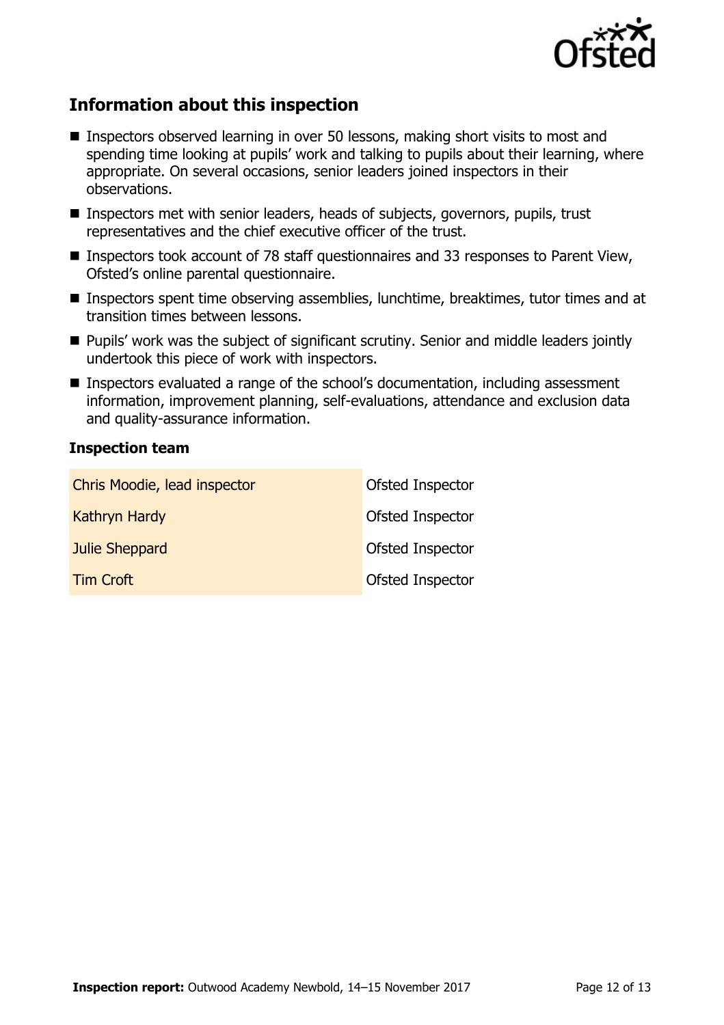

# **Information about this inspection**

- Inspectors observed learning in over 50 lessons, making short visits to most and spending time looking at pupils' work and talking to pupils about their learning, where appropriate. On several occasions, senior leaders joined inspectors in their observations.
- Inspectors met with senior leaders, heads of subjects, governors, pupils, trust representatives and the chief executive officer of the trust.
- Inspectors took account of 78 staff questionnaires and 33 responses to Parent View, Ofsted's online parental questionnaire.
- Inspectors spent time observing assemblies, lunchtime, breaktimes, tutor times and at transition times between lessons.
- **Pupils' work was the subject of significant scrutiny. Senior and middle leaders jointly** undertook this piece of work with inspectors.
- Inspectors evaluated a range of the school's documentation, including assessment information, improvement planning, self-evaluations, attendance and exclusion data and quality-assurance information.

### **Inspection team**

| Chris Moodie, lead inspector | Ofsted Inspector |
|------------------------------|------------------|
| <b>Kathryn Hardy</b>         | Ofsted Inspector |
| Julie Sheppard               | Ofsted Inspector |
| <b>Tim Croft</b>             | Ofsted Inspector |